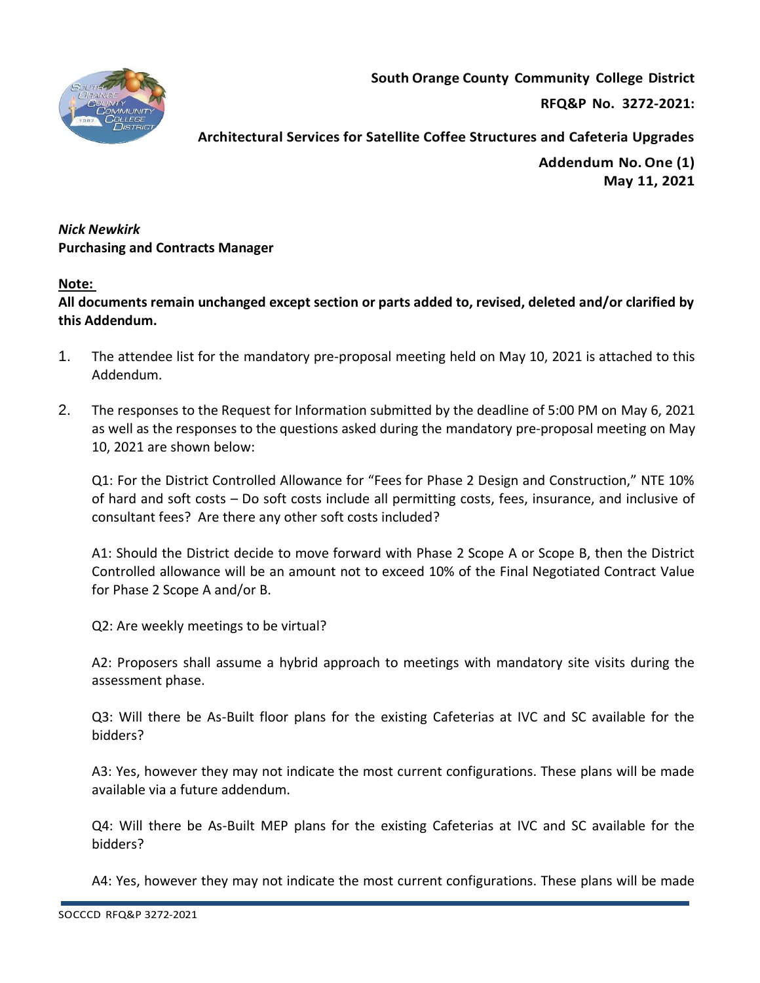

**South Orange County Community College District**

**RFQ&P No. 3272-2021:** 

**Addendum No.One (1) May 11, 2021**

*Nick Newkirk*  **Purchasing and Contracts Manager** 

## **Note:**

**All documents remain unchanged except section or parts added to, revised, deleted and/or clarified by this Addendum.**

- 1. The attendee list for the mandatory pre-proposal meeting held on May 10, 2021 is attached to this Addendum.
- 2. The responses to the Request for Information submitted by the deadline of 5:00 PM on May 6, 2021 as well as the responses to the questions asked during the mandatory pre-proposal meeting on May 10, 2021 are shown below:

Q1: For the District Controlled Allowance for "Fees for Phase 2 Design and Construction," NTE 10% of hard and soft costs – Do soft costs include all permitting costs, fees, insurance, and inclusive of consultant fees? Are there any other soft costs included?

A1: Should the District decide to move forward with Phase 2 Scope A or Scope B, then the District Controlled allowance will be an amount not to exceed 10% of the Final Negotiated Contract Value for Phase 2 Scope A and/or B.

Q2: Are weekly meetings to be virtual?

A2: Proposers shall assume a hybrid approach to meetings with mandatory site visits during the assessment phase.

Q3: Will there be As-Built floor plans for the existing Cafeterias at IVC and SC available for the bidders?

A3: Yes, however they may not indicate the most current configurations. These plans will be made available via a future addendum.

Q4: Will there be As-Built MEP plans for the existing Cafeterias at IVC and SC available for the bidders?

A4: Yes, however they may not indicate the most current configurations. These plans will be made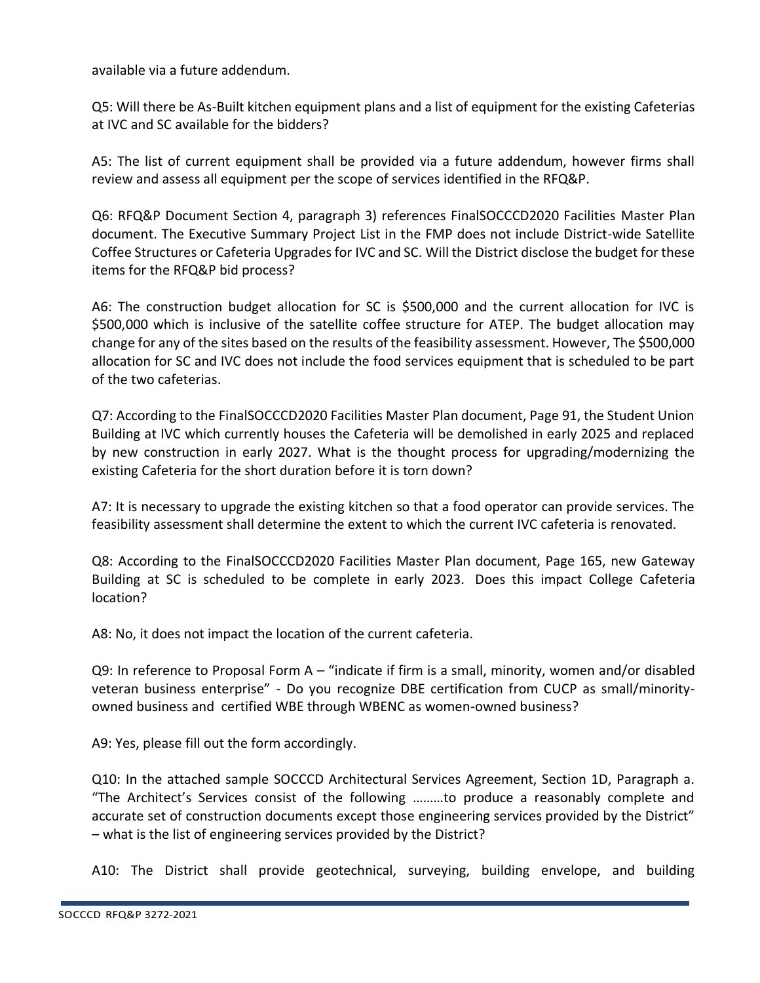available via a future addendum.

Q5: Will there be As-Built kitchen equipment plans and a list of equipment for the existing Cafeterias at IVC and SC available for the bidders?

A5: The list of current equipment shall be provided via a future addendum, however firms shall review and assess all equipment per the scope of services identified in the RFQ&P.

Q6: RFQ&P Document Section 4, paragraph 3) references FinalSOCCCD2020 Facilities Master Plan document. The Executive Summary Project List in the FMP does not include District-wide Satellite Coffee Structures or Cafeteria Upgrades for IVC and SC. Will the District disclose the budget for these items for the RFQ&P bid process?

A6: The construction budget allocation for SC is \$500,000 and the current allocation for IVC is \$500,000 which is inclusive of the satellite coffee structure for ATEP. The budget allocation may change for any of the sites based on the results of the feasibility assessment. However, The \$500,000 allocation for SC and IVC does not include the food services equipment that is scheduled to be part of the two cafeterias.

Q7: According to the FinalSOCCCD2020 Facilities Master Plan document, Page 91, the Student Union Building at IVC which currently houses the Cafeteria will be demolished in early 2025 and replaced by new construction in early 2027. What is the thought process for upgrading/modernizing the existing Cafeteria for the short duration before it is torn down?

A7: It is necessary to upgrade the existing kitchen so that a food operator can provide services. The feasibility assessment shall determine the extent to which the current IVC cafeteria is renovated.

Q8: According to the FinalSOCCCD2020 Facilities Master Plan document, Page 165, new Gateway Building at SC is scheduled to be complete in early 2023. Does this impact College Cafeteria location?

A8: No, it does not impact the location of the current cafeteria.

Q9: In reference to Proposal Form  $A -$  "indicate if firm is a small, minority, women and/or disabled veteran business enterprise" - Do you recognize DBE certification from CUCP as small/minorityowned business and certified WBE through WBENC as women-owned business?

A9: Yes, please fill out the form accordingly.

Q10: In the attached sample SOCCCD Architectural Services Agreement, Section 1D, Paragraph a. "The Architect's Services consist of the following ………to produce a reasonably complete and accurate set of construction documents except those engineering services provided by the District" – what is the list of engineering services provided by the District?

A10: The District shall provide geotechnical, surveying, building envelope, and building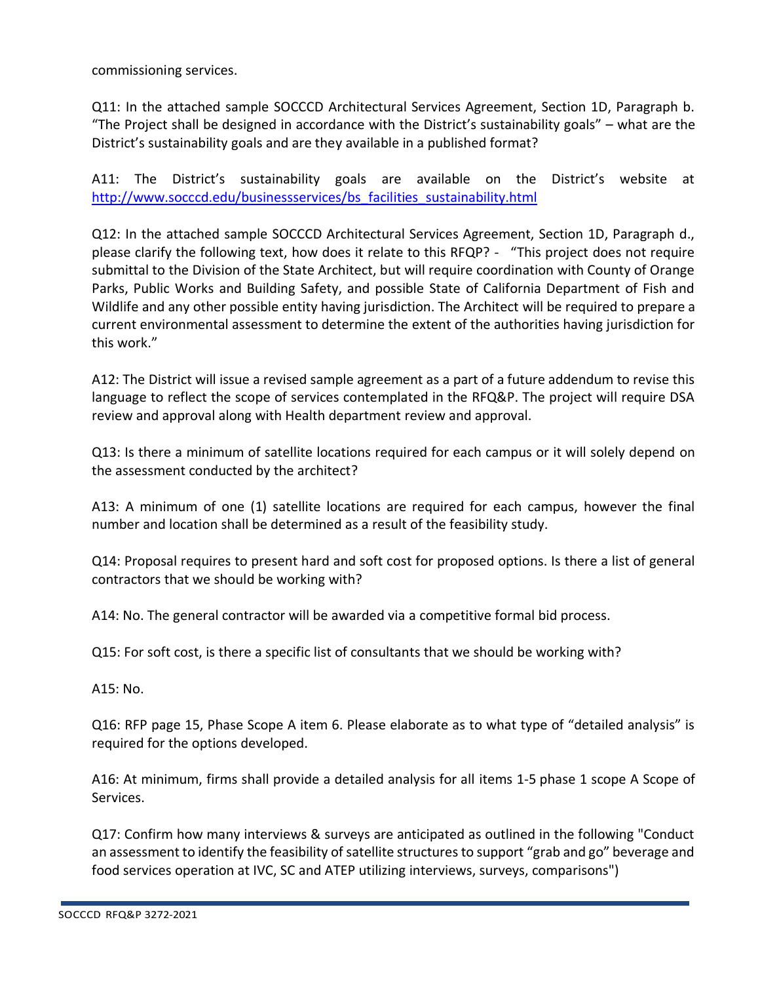commissioning services.

Q11: In the attached sample SOCCCD Architectural Services Agreement, Section 1D, Paragraph b. "The Project shall be designed in accordance with the District's sustainability goals" – what are the District's sustainability goals and are they available in a published format?

A11: The District's sustainability goals are available on the District's website at [http://www.socccd.edu/businessservices/bs\\_facilities\\_sustainability.html](http://www.socccd.edu/businessservices/bs_facilities_sustainability.html)

Q12: In the attached sample SOCCCD Architectural Services Agreement, Section 1D, Paragraph d., please clarify the following text, how does it relate to this RFQP? - "This project does not require submittal to the Division of the State Architect, but will require coordination with County of Orange Parks, Public Works and Building Safety, and possible State of California Department of Fish and Wildlife and any other possible entity having jurisdiction. The Architect will be required to prepare a current environmental assessment to determine the extent of the authorities having jurisdiction for this work."

A12: The District will issue a revised sample agreement as a part of a future addendum to revise this language to reflect the scope of services contemplated in the RFQ&P. The project will require DSA review and approval along with Health department review and approval.

Q13: Is there a minimum of satellite locations required for each campus or it will solely depend on the assessment conducted by the architect?

A13: A minimum of one (1) satellite locations are required for each campus, however the final number and location shall be determined as a result of the feasibility study.

Q14: Proposal requires to present hard and soft cost for proposed options. Is there a list of general contractors that we should be working with?

A14: No. The general contractor will be awarded via a competitive formal bid process.

Q15: For soft cost, is there a specific list of consultants that we should be working with?

A15: No.

Q16: RFP page 15, Phase Scope A item 6. Please elaborate as to what type of "detailed analysis" is required for the options developed.

A16: At minimum, firms shall provide a detailed analysis for all items 1-5 phase 1 scope A Scope of Services.

Q17: Confirm how many interviews & surveys are anticipated as outlined in the following "Conduct an assessment to identify the feasibility of satellite structures to support "grab and go" beverage and food services operation at IVC, SC and ATEP utilizing interviews, surveys, comparisons")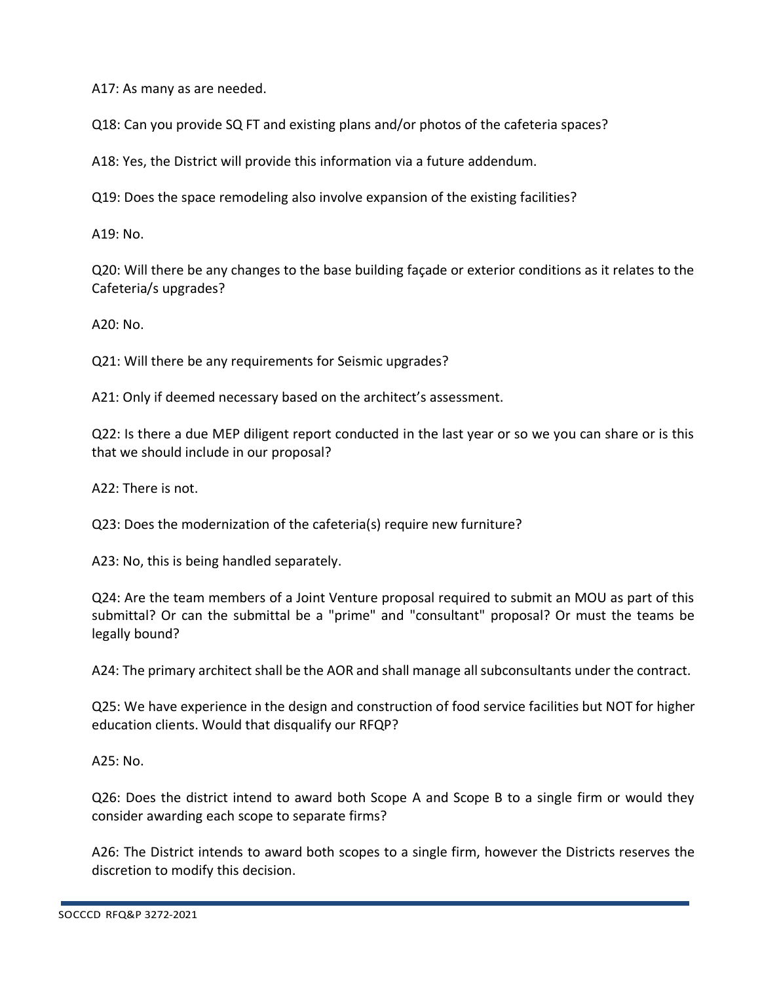A17: As many as are needed.

Q18: Can you provide SQ FT and existing plans and/or photos of the cafeteria spaces?

A18: Yes, the District will provide this information via a future addendum.

Q19: Does the space remodeling also involve expansion of the existing facilities?

A19: No.

Q20: Will there be any changes to the base building façade or exterior conditions as it relates to the Cafeteria/s upgrades?

A20: No.

Q21: Will there be any requirements for Seismic upgrades?

A21: Only if deemed necessary based on the architect's assessment.

Q22: Is there a due MEP diligent report conducted in the last year or so we you can share or is this that we should include in our proposal?

A22: There is not.

Q23: Does the modernization of the cafeteria(s) require new furniture?

A23: No, this is being handled separately.

Q24: Are the team members of a Joint Venture proposal required to submit an MOU as part of this submittal? Or can the submittal be a "prime" and "consultant" proposal? Or must the teams be legally bound?

A24: The primary architect shall be the AOR and shall manage all subconsultants under the contract.

Q25: We have experience in the design and construction of food service facilities but NOT for higher education clients. Would that disqualify our RFQP?

A25: No.

Q26: Does the district intend to award both Scope A and Scope B to a single firm or would they consider awarding each scope to separate firms?

A26: The District intends to award both scopes to a single firm, however the Districts reserves the discretion to modify this decision.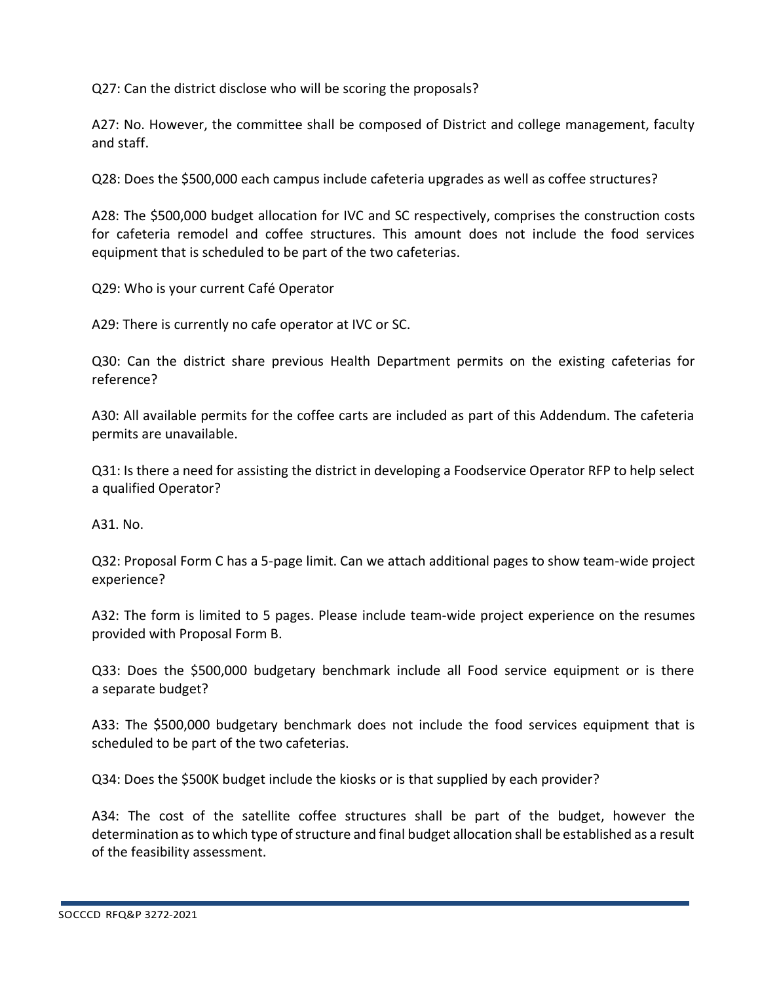Q27: Can the district disclose who will be scoring the proposals?

A27: No. However, the committee shall be composed of District and college management, faculty and staff.

Q28: Does the \$500,000 each campus include cafeteria upgrades as well as coffee structures?

A28: The \$500,000 budget allocation for IVC and SC respectively, comprises the construction costs for cafeteria remodel and coffee structures. This amount does not include the food services equipment that is scheduled to be part of the two cafeterias.

Q29: Who is your current Café Operator

A29: There is currently no cafe operator at IVC or SC.

Q30: Can the district share previous Health Department permits on the existing cafeterias for reference?

A30: All available permits for the coffee carts are included as part of this Addendum. The cafeteria permits are unavailable.

Q31: Is there a need for assisting the district in developing a Foodservice Operator RFP to help select a qualified Operator?

A31. No.

Q32: Proposal Form C has a 5-page limit. Can we attach additional pages to show team-wide project experience?

A32: The form is limited to 5 pages. Please include team-wide project experience on the resumes provided with Proposal Form B.

Q33: Does the \$500,000 budgetary benchmark include all Food service equipment or is there a separate budget?

A33: The \$500,000 budgetary benchmark does not include the food services equipment that is scheduled to be part of the two cafeterias.

Q34: Does the \$500K budget include the kiosks or is that supplied by each provider?

A34: The cost of the satellite coffee structures shall be part of the budget, however the determination as to which type of structure and final budget allocation shall be established as a result of the feasibility assessment.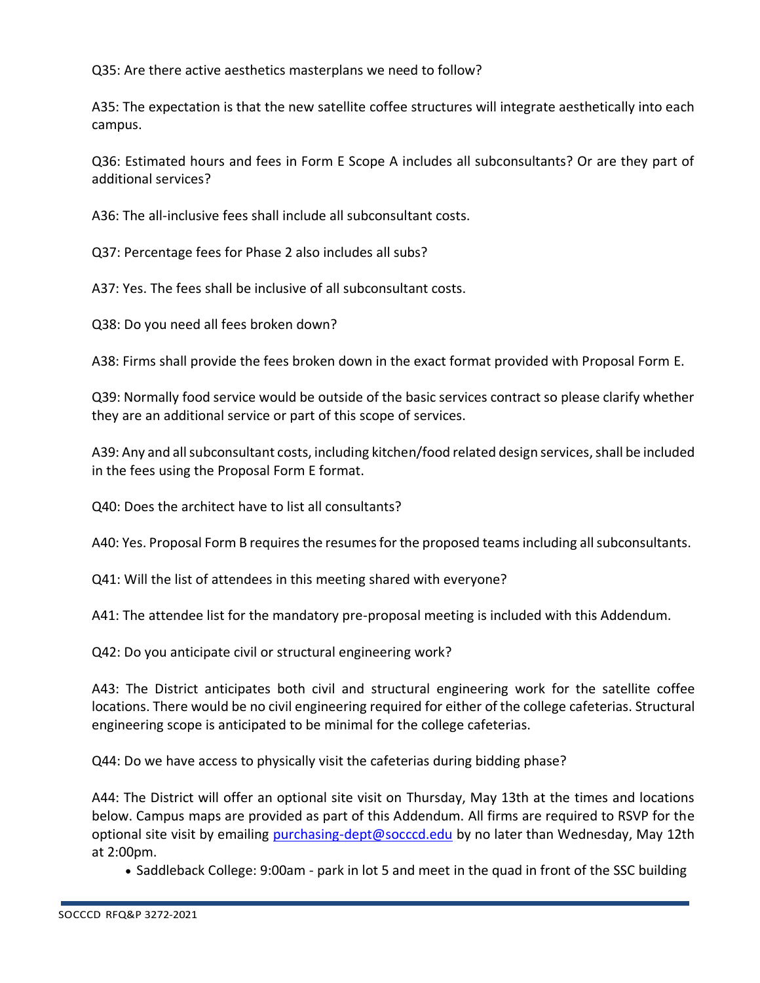Q35: Are there active aesthetics masterplans we need to follow?

A35: The expectation is that the new satellite coffee structures will integrate aesthetically into each campus.

Q36: Estimated hours and fees in Form E Scope A includes all subconsultants? Or are they part of additional services?

A36: The all-inclusive fees shall include all subconsultant costs.

Q37: Percentage fees for Phase 2 also includes all subs?

A37: Yes. The fees shall be inclusive of all subconsultant costs.

Q38: Do you need all fees broken down?

A38: Firms shall provide the fees broken down in the exact format provided with Proposal Form E.

Q39: Normally food service would be outside of the basic services contract so please clarify whether they are an additional service or part of this scope of services.

A39: Any and all subconsultant costs, including kitchen/food related design services, shall be included in the fees using the Proposal Form E format.

Q40: Does the architect have to list all consultants?

A40: Yes. Proposal Form B requires the resumes for the proposed teams including all subconsultants.

Q41: Will the list of attendees in this meeting shared with everyone?

A41: The attendee list for the mandatory pre-proposal meeting is included with this Addendum.

Q42: Do you anticipate civil or structural engineering work?

A43: The District anticipates both civil and structural engineering work for the satellite coffee locations. There would be no civil engineering required for either of the college cafeterias. Structural engineering scope is anticipated to be minimal for the college cafeterias.

Q44: Do we have access to physically visit the cafeterias during bidding phase?

A44: The District will offer an optional site visit on Thursday, May 13th at the times and locations below. Campus maps are provided as part of this Addendum. All firms are required to RSVP for the optional site visit by emailing [purchasing-dept@socccd.edu](mailto:purchasing-dept@socccd.edu) by no later than Wednesday, May 12th at 2:00pm.

• Saddleback College: 9:00am - park in lot 5 and meet in the quad in front of the SSC building